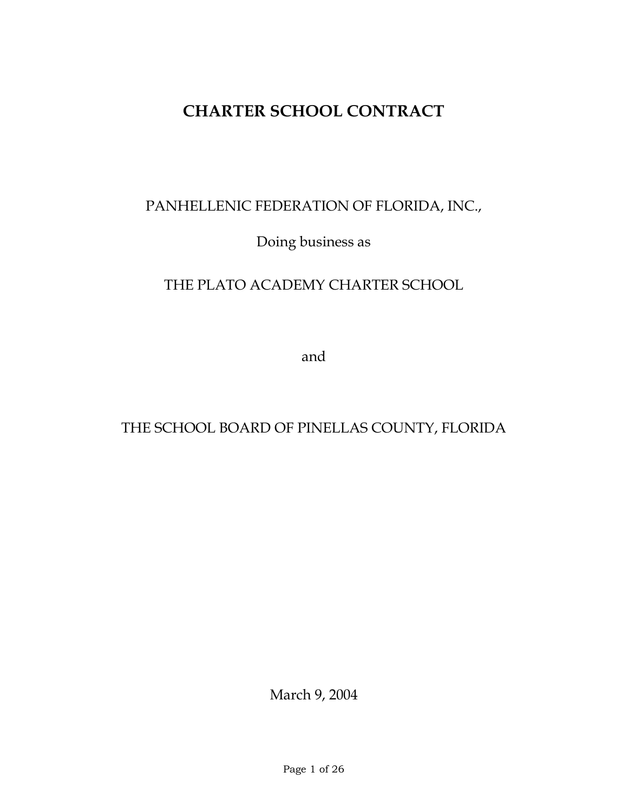# **CHARTER SCHOOL CONTRACT**

# PANHELLENIC FEDERATION OF FLORIDA, INC.,

Doing business as

## THE PLATO ACADEMY CHARTER SCHOOL

and

## THE SCHOOL BOARD OF PINELLAS COUNTY, FLORIDA

March 9, 2004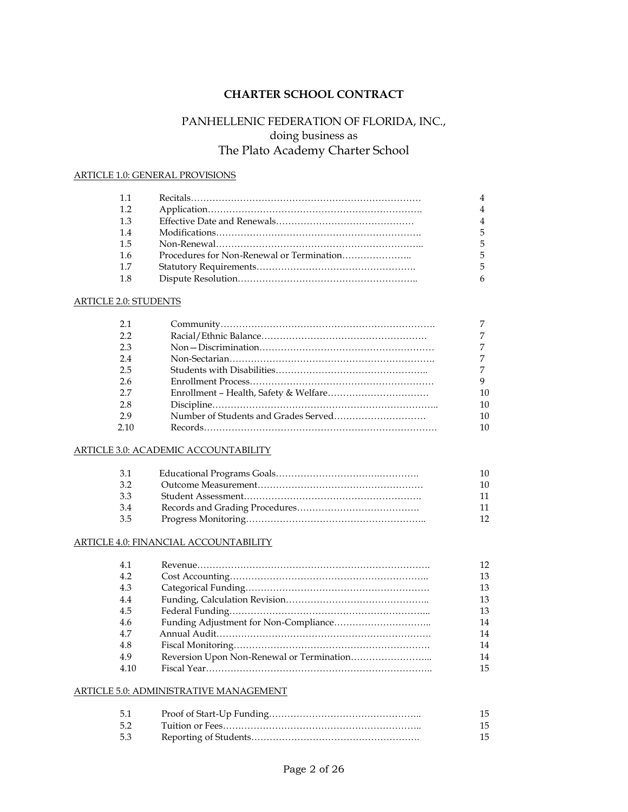## **CHARTER SCHOOL CONTRACT**

## PANHELLENIC FEDERATION OF FLORIDA, INC., doing business as The Plato Academy Charter School

### ARTICLE 1.0: GENERAL PROVISIONS

| $-1.1$ |                |
|--------|----------------|
| 1.2    | 4              |
| 1.3    | $\overline{4}$ |
| 1.4    | 5              |
| -1.5   |                |
| 1.6    | 5              |
| -1.7   | 5              |
| -1.8   |                |

#### ARTICLE 2.0: STUDENTS

| 2.1  |    |
|------|----|
| 2.2  |    |
| 2.3  |    |
| 2.4  |    |
| 2.5  |    |
| 2.6  | 9  |
| 2.7  | 10 |
| 2.8  | 10 |
| 29   | 10 |
| 2.10 | 10 |

#### ARTICLE 3.0: ACADEMIC ACCOUNTABILITY

| 3.1 | 10.             |
|-----|-----------------|
| 3.2 | 10              |
| 33  | 11              |
| 3.4 | 11              |
| 3.5 | 12 <sup>°</sup> |

#### ARTICLE 4.0: FINANCIAL ACCOUNTABILITY

| 4.1  | 12 |
|------|----|
| 4.2  | 13 |
| 4.3  | 13 |
| 4.4  | 13 |
| 4.5  | 13 |
| 4.6  | 14 |
| 4.7  | 14 |
| 4.8  | 14 |
| 49   | 14 |
| 4.10 | 15 |

#### ARTICLE 5.0: ADMINISTRATIVE MANAGEMENT

| 5.1 | 15 |
|-----|----|
| 5.2 | 15 |
| 5.3 | 15 |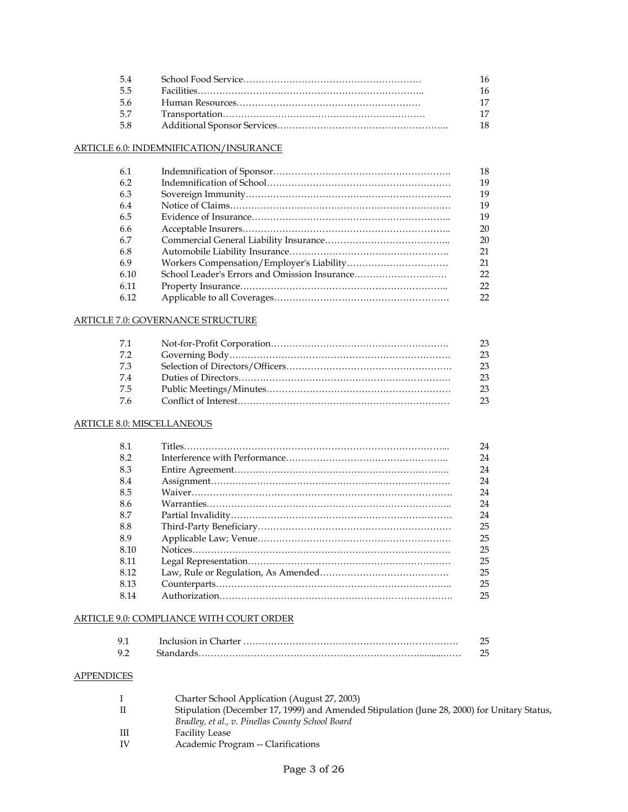| -54 |     |
|-----|-----|
| 5.5 | 16. |
| 5.6 |     |
| 57  |     |
| 5.8 |     |

## ARTICLE 6.0: INDEMNIFICATION/INSURANCE

| 6.1  |                                               | 18 |
|------|-----------------------------------------------|----|
| 6.2  |                                               | 19 |
| 6.3  |                                               | 19 |
| 6.4  |                                               | 19 |
| 6.5  |                                               | 19 |
| -6.6 |                                               | 20 |
| 6.7  |                                               | 20 |
| 6.8  |                                               | 21 |
| 6.9  |                                               | 21 |
| 6.10 | School Leader's Errors and Omission Insurance | 22 |
| 6.11 |                                               | 22 |
| 6.12 |                                               | 22 |

## ARTICLE 7.0: GOVERNANCE STRUCTURE

| 7.1 | 23 |
|-----|----|
| 7.2 | 23 |
| 7.3 | 23 |
| 7.4 | 23 |
| 7.5 | 23 |
| 7.6 | 23 |

### ARTICLE 8.0: MISCELLANEOUS

| 8.1  | 24 |
|------|----|
| 8.2  | 24 |
| 8.3  | 24 |
| 8.4  | 24 |
| 8.5  | 24 |
| -8.6 | 24 |
| 8.7  | 24 |
| 8.8  | 25 |
| 8.9  | 25 |
| 8.10 | 25 |
| 8.11 | 25 |
| 8.12 | 25 |
| 8.13 | 25 |
| 8.14 | 25 |
|      |    |

## ARTICLE 9.0: COMPLIANCE WITH COURT ORDER

| Standards |  |
|-----------|--|

## **APPENDICES**

| $\perp$   | Charter School Application (August 27, 2003)                                                |
|-----------|---------------------------------------------------------------------------------------------|
| Л         | Stipulation (December 17, 1999) and Amended Stipulation (June 28, 2000) for Unitary Status, |
|           | Bradley, et al., v. Pinellas County School Board                                            |
| Ш         | <b>Facility Lease</b>                                                                       |
| <b>IV</b> | Academic Program -- Clarifications                                                          |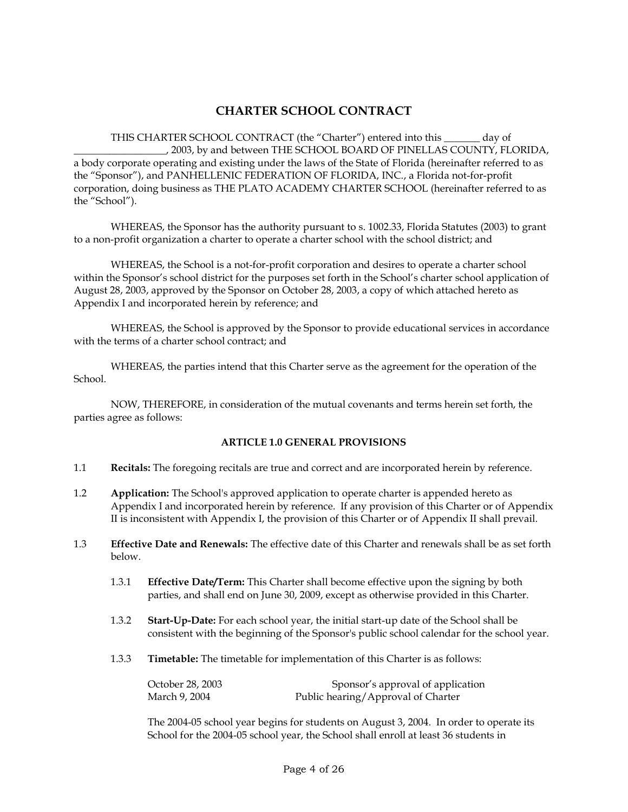## **CHARTER SCHOOL CONTRACT**

THIS CHARTER SCHOOL CONTRACT (the "Charter") entered into this \_\_\_\_\_\_\_ day of \_\_\_\_\_\_\_\_\_\_\_\_\_\_\_\_\_\_, 2003, by and between THE SCHOOL BOARD OF PINELLAS COUNTY, FLORIDA, a body corporate operating and existing under the laws of the State of Florida (hereinafter referred to as the "Sponsor"), and PANHELLENIC FEDERATION OF FLORIDA, INC., a Florida not-for-profit corporation, doing business as THE PLATO ACADEMY CHARTER SCHOOL (hereinafter referred to as the "School").

WHEREAS, the Sponsor has the authority pursuant to s. 1002.33, Florida Statutes (2003) to grant to a non-profit organization a charter to operate a charter school with the school district; and

WHEREAS, the School is a not-for-profit corporation and desires to operate a charter school within the Sponsor's school district for the purposes set forth in the School's charter school application of August 28, 2003, approved by the Sponsor on October 28, 2003, a copy of which attached hereto as Appendix I and incorporated herein by reference; and

WHEREAS, the School is approved by the Sponsor to provide educational services in accordance with the terms of a charter school contract; and

WHEREAS, the parties intend that this Charter serve as the agreement for the operation of the School.

NOW, THEREFORE, in consideration of the mutual covenants and terms herein set forth, the parties agree as follows:

#### **ARTICLE 1.0 GENERAL PROVISIONS**

- 1.1 **Recitals:** The foregoing recitals are true and correct and are incorporated herein by reference.
- 1.2 **Application:** The School's approved application to operate charter is appended hereto as Appendix I and incorporated herein by reference. If any provision of this Charter or of Appendix II is inconsistent with Appendix I, the provision of this Charter or of Appendix II shall prevail.
- 1.3 **Effective Date and Renewals:** The effective date of this Charter and renewals shall be as set forth below.
	- 1.3.1 **Effective Date/Term:** This Charter shall become effective upon the signing by both parties, and shall end on June 30, 2009, except as otherwise provided in this Charter.
	- 1.3.2 **Start-Up-Date:** For each school year, the initial start-up date of the School shall be consistent with the beginning of the Sponsor's public school calendar for the school year.
	- 1.3.3 **Timetable:** The timetable for implementation of this Charter is as follows:

| October 28, 2003 | Sponsor's approval of application  |
|------------------|------------------------------------|
| March 9, 2004    | Public hearing/Approval of Charter |

The 2004-05 school year begins for students on August 3, 2004. In order to operate its School for the 2004-05 school year, the School shall enroll at least 36 students in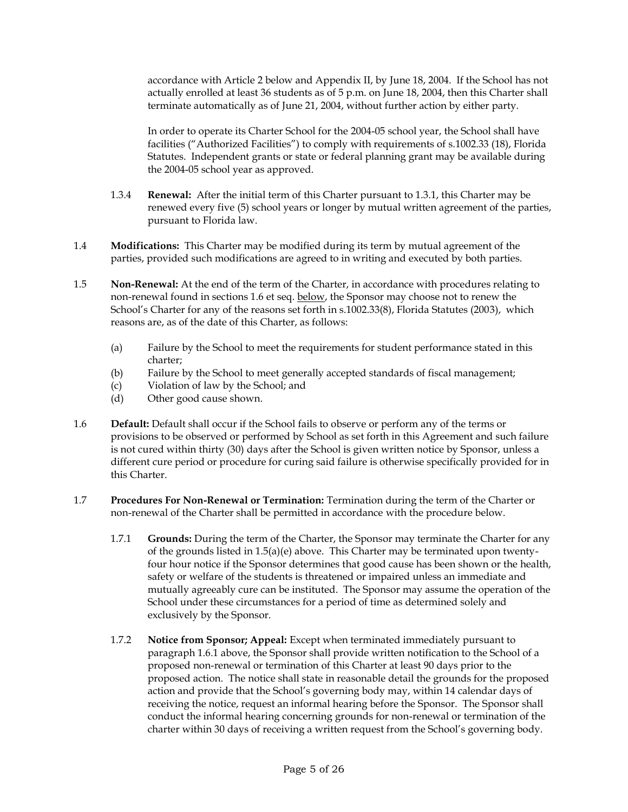accordance with Article 2 below and Appendix II, by June 18, 2004. If the School has not actually enrolled at least 36 students as of 5 p.m. on June 18, 2004, then this Charter shall terminate automatically as of June 21, 2004, without further action by either party.

In order to operate its Charter School for the 2004-05 school year, the School shall have facilities ("Authorized Facilities") to comply with requirements of s.1002.33 (18), Florida Statutes. Independent grants or state or federal planning grant may be available during the 2004-05 school year as approved.

- 1.3.4 **Renewal:** After the initial term of this Charter pursuant to 1.3.1, this Charter may be renewed every five (5) school years or longer by mutual written agreement of the parties, pursuant to Florida law.
- 1.4 **Modifications:** This Charter may be modified during its term by mutual agreement of the parties, provided such modifications are agreed to in writing and executed by both parties.
- 1.5 **Non-Renewal:** At the end of the term of the Charter, in accordance with procedures relating to non-renewal found in sections 1.6 et seq. below, the Sponsor may choose not to renew the School's Charter for any of the reasons set forth in s.1002.33(8), Florida Statutes (2003), which reasons are, as of the date of this Charter, as follows:
	- (a) Failure by the School to meet the requirements for student performance stated in this charter;
	- (b) Failure by the School to meet generally accepted standards of fiscal management;
	- (c) Violation of law by the School; and
	- (d) Other good cause shown.
- 1.6 **Default:** Default shall occur if the School fails to observe or perform any of the terms or provisions to be observed or performed by School as set forth in this Agreement and such failure is not cured within thirty (30) days after the School is given written notice by Sponsor, unless a different cure period or procedure for curing said failure is otherwise specifically provided for in this Charter.
- 1.7 **Procedures For Non-Renewal or Termination:** Termination during the term of the Charter or non-renewal of the Charter shall be permitted in accordance with the procedure below.
	- 1.7.1 **Grounds:** During the term of the Charter, the Sponsor may terminate the Charter for any of the grounds listed in  $1.5(a)(e)$  above. This Charter may be terminated upon twentyfour hour notice if the Sponsor determines that good cause has been shown or the health, safety or welfare of the students is threatened or impaired unless an immediate and mutually agreeably cure can be instituted. The Sponsor may assume the operation of the School under these circumstances for a period of time as determined solely and exclusively by the Sponsor.
	- 1.7.2 **Notice from Sponsor; Appeal:** Except when terminated immediately pursuant to paragraph 1.6.1 above, the Sponsor shall provide written notification to the School of a proposed non-renewal or termination of this Charter at least 90 days prior to the proposed action. The notice shall state in reasonable detail the grounds for the proposed action and provide that the School's governing body may, within 14 calendar days of receiving the notice, request an informal hearing before the Sponsor. The Sponsor shall conduct the informal hearing concerning grounds for non-renewal or termination of the charter within 30 days of receiving a written request from the School's governing body.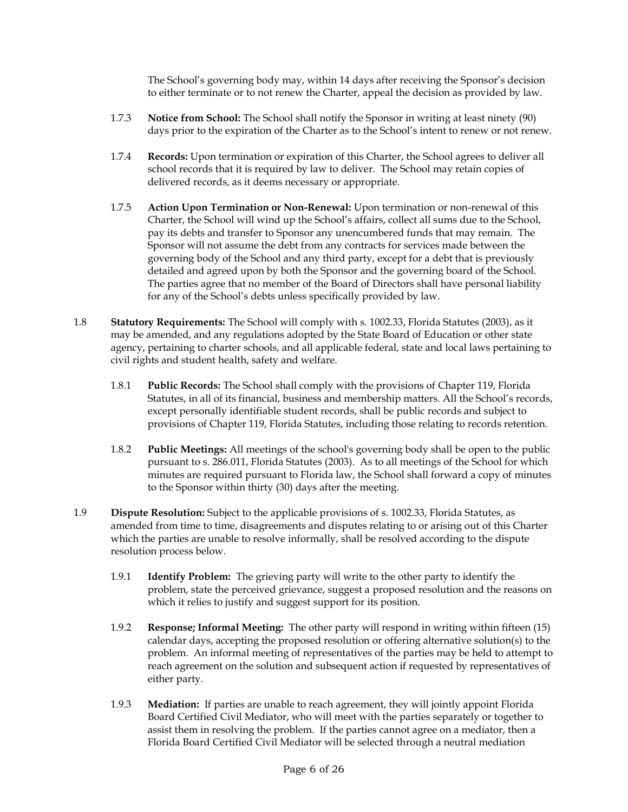The School's governing body may, within 14 days after receiving the Sponsor's decision to either terminate or to not renew the Charter, appeal the decision as provided by law.

- 1.7.3 **Notice from School:** The School shall notify the Sponsor in writing at least ninety (90) days prior to the expiration of the Charter as to the School's intent to renew or not renew.
- 1.7.4 **Records:** Upon termination or expiration of this Charter, the School agrees to deliver all school records that it is required by law to deliver. The School may retain copies of delivered records, as it deems necessary or appropriate.
- 1.7.5 **Action Upon Termination or Non-Renewal:** Upon termination or non-renewal of this Charter, the School will wind up the School's affairs, collect all sums due to the School, pay its debts and transfer to Sponsor any unencumbered funds that may remain. The Sponsor will not assume the debt from any contracts for services made between the governing body of the School and any third party, except for a debt that is previously detailed and agreed upon by both the Sponsor and the governing board of the School. The parties agree that no member of the Board of Directors shall have personal liability for any of the School's debts unless specifically provided by law.
- 1.8 **Statutory Requirements:** The School will comply with s. 1002.33, Florida Statutes (2003), as it may be amended, and any regulations adopted by the State Board of Education or other state agency, pertaining to charter schools, and all applicable federal, state and local laws pertaining to civil rights and student health, safety and welfare.
	- 1.8.1 **Public Records:** The School shall comply with the provisions of Chapter 119, Florida Statutes, in all of its financial, business and membership matters. All the School's records, except personally identifiable student records, shall be public records and subject to provisions of Chapter 119, Florida Statutes, including those relating to records retention.
	- 1.8.2 **Public Meetings:** All meetings of the school's governing body shall be open to the public pursuant to s. 286.011, Florida Statutes (2003). As to all meetings of the School for which minutes are required pursuant to Florida law, the School shall forward a copy of minutes to the Sponsor within thirty (30) days after the meeting.
- 1.9 **Dispute Resolution:** Subject to the applicable provisions of s. 1002.33, Florida Statutes, as amended from time to time, disagreements and disputes relating to or arising out of this Charter which the parties are unable to resolve informally, shall be resolved according to the dispute resolution process below.
	- 1.9.1 **Identify Problem:** The grieving party will write to the other party to identify the problem, state the perceived grievance, suggest a proposed resolution and the reasons on which it relies to justify and suggest support for its position.
	- 1.9.2 **Response; Informal Meeting:** The other party will respond in writing within fifteen (15) calendar days, accepting the proposed resolution or offering alternative solution(s) to the problem. An informal meeting of representatives of the parties may be held to attempt to reach agreement on the solution and subsequent action if requested by representatives of either party.
	- 1.9.3 **Mediation:** If parties are unable to reach agreement, they will jointly appoint Florida Board Certified Civil Mediator, who will meet with the parties separately or together to assist them in resolving the problem. If the parties cannot agree on a mediator, then a Florida Board Certified Civil Mediator will be selected through a neutral mediation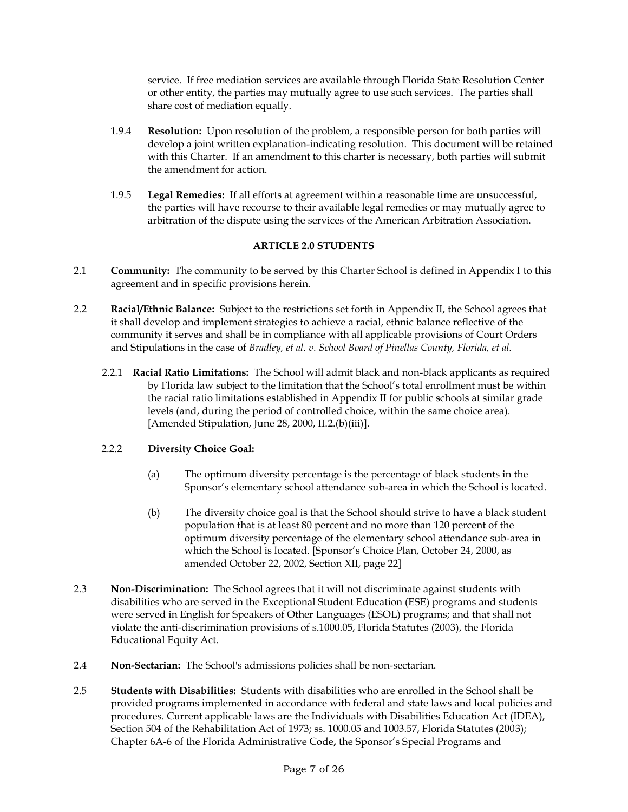service. If free mediation services are available through Florida State Resolution Center or other entity, the parties may mutually agree to use such services. The parties shall share cost of mediation equally.

- 1.9.4 **Resolution:** Upon resolution of the problem, a responsible person for both parties will develop a joint written explanation-indicating resolution. This document will be retained with this Charter. If an amendment to this charter is necessary, both parties will submit the amendment for action.
- 1.9.5 **Legal Remedies:** If all efforts at agreement within a reasonable time are unsuccessful, the parties will have recourse to their available legal remedies or may mutually agree to arbitration of the dispute using the services of the American Arbitration Association.

## **ARTICLE 2.0 STUDENTS**

- 2.1 **Community:** The community to be served by this Charter School is defined in Appendix I to this agreement and in specific provisions herein.
- 2.2 **Racial/Ethnic Balance:** Subject to the restrictions set forth in Appendix II, the School agrees that it shall develop and implement strategies to achieve a racial, ethnic balance reflective of the community it serves and shall be in compliance with all applicable provisions of Court Orders and Stipulations in the case of *Bradley, et al. v. School Board of Pinellas County, Florida, et al.*
	- 2.2.1 **Racial Ratio Limitations:** The School will admit black and non-black applicants as required by Florida law subject to the limitation that the School's total enrollment must be within the racial ratio limitations established in Appendix II for public schools at similar grade levels (and, during the period of controlled choice, within the same choice area). [Amended Stipulation, June 28, 2000, II.2.(b)(iii)].

## 2.2.2 **Diversity Choice Goal:**

- (a) The optimum diversity percentage is the percentage of black students in the Sponsor's elementary school attendance sub-area in which the School is located.
- (b) The diversity choice goal is that the School should strive to have a black student population that is at least 80 percent and no more than 120 percent of the optimum diversity percentage of the elementary school attendance sub-area in which the School is located. [Sponsor's Choice Plan, October 24, 2000, as amended October 22, 2002, Section XII, page 22]
- 2.3 **Non-Discrimination:** The School agrees that it will not discriminate against students with disabilities who are served in the Exceptional Student Education (ESE) programs and students were served in English for Speakers of Other Languages (ESOL) programs; and that shall not violate the anti-discrimination provisions of s.1000.05, Florida Statutes (2003), the Florida Educational Equity Act.
- 2.4 **Non-Sectarian:** The School's admissions policies shall be non-sectarian.
- 2.5 **Students with Disabilities:** Students with disabilities who are enrolled in the School shall be provided programs implemented in accordance with federal and state laws and local policies and procedures. Current applicable laws are the Individuals with Disabilities Education Act (IDEA), Section 504 of the Rehabilitation Act of 1973; ss. 1000.05 and 1003.57, Florida Statutes (2003); Chapter 6A-6 of the Florida Administrative Code**,** the Sponsor's Special Programs and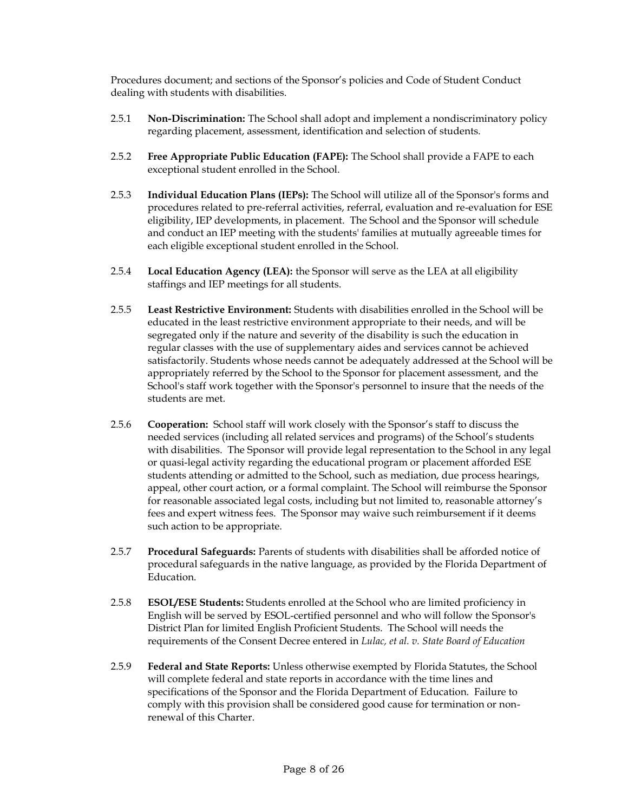Procedures document; and sections of the Sponsor's policies and Code of Student Conduct dealing with students with disabilities.

- 2.5.1 **Non-Discrimination:** The School shall adopt and implement a nondiscriminatory policy regarding placement, assessment, identification and selection of students.
- 2.5.2 **Free Appropriate Public Education (FAPE):** The School shall provide a FAPE to each exceptional student enrolled in the School.
- 2.5.3 **Individual Education Plans (IEPs):** The School will utilize all of the Sponsor's forms and procedures related to pre-referral activities, referral, evaluation and re-evaluation for ESE eligibility, IEP developments, in placement. The School and the Sponsor will schedule and conduct an IEP meeting with the students' families at mutually agreeable times for each eligible exceptional student enrolled in the School.
- 2.5.4 **Local Education Agency (LEA):** the Sponsor will serve as the LEA at all eligibility staffings and IEP meetings for all students.
- 2.5.5 **Least Restrictive Environment:** Students with disabilities enrolled in the School will be educated in the least restrictive environment appropriate to their needs, and will be segregated only if the nature and severity of the disability is such the education in regular classes with the use of supplementary aides and services cannot be achieved satisfactorily. Students whose needs cannot be adequately addressed at the School will be appropriately referred by the School to the Sponsor for placement assessment, and the School's staff work together with the Sponsor's personnel to insure that the needs of the students are met.
- 2.5.6 **Cooperation:** School staff will work closely with the Sponsor's staff to discuss the needed services (including all related services and programs) of the School's students with disabilities. The Sponsor will provide legal representation to the School in any legal or quasi-legal activity regarding the educational program or placement afforded ESE students attending or admitted to the School, such as mediation, due process hearings, appeal, other court action, or a formal complaint. The School will reimburse the Sponsor for reasonable associated legal costs, including but not limited to, reasonable attorney's fees and expert witness fees. The Sponsor may waive such reimbursement if it deems such action to be appropriate.
- 2.5.7 **Procedural Safeguards:** Parents of students with disabilities shall be afforded notice of procedural safeguards in the native language, as provided by the Florida Department of Education.
- 2.5.8 **ESOL/ESE Students:** Students enrolled at the School who are limited proficiency in English will be served by ESOL-certified personnel and who will follow the Sponsor's District Plan for limited English Proficient Students. The School will needs the requirements of the Consent Decree entered in *Lulac, et al. v. State Board of Education*
- 2.5.9 **Federal and State Reports:** Unless otherwise exempted by Florida Statutes, the School will complete federal and state reports in accordance with the time lines and specifications of the Sponsor and the Florida Department of Education. Failure to comply with this provision shall be considered good cause for termination or nonrenewal of this Charter.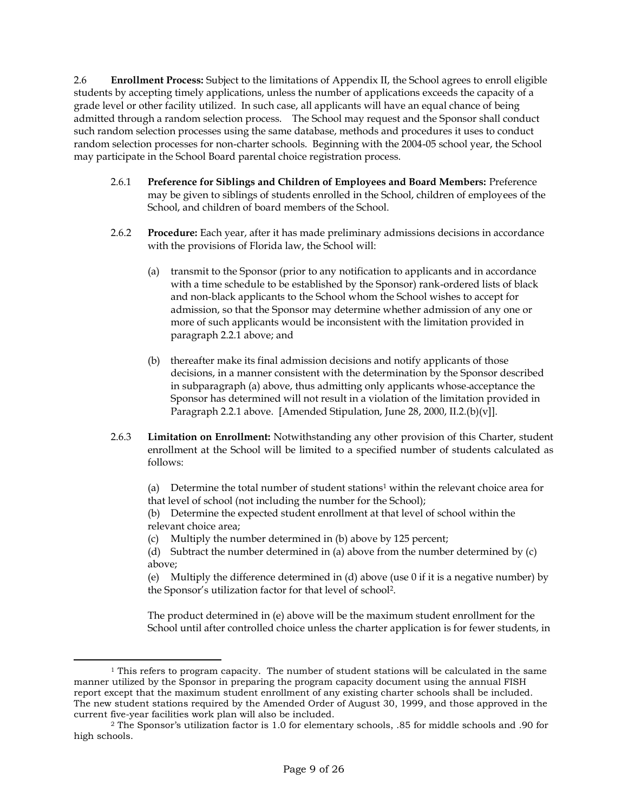2.6 **Enrollment Process:** Subject to the limitations of Appendix II, the School agrees to enroll eligible students by accepting timely applications, unless the number of applications exceeds the capacity of a grade level or other facility utilized. In such case, all applicants will have an equal chance of being admitted through a random selection process. The School may request and the Sponsor shall conduct such random selection processes using the same database, methods and procedures it uses to conduct random selection processes for non-charter schools. Beginning with the 2004-05 school year, the School may participate in the School Board parental choice registration process.

- 2.6.1 **Preference for Siblings and Children of Employees and Board Members:** Preference may be given to siblings of students enrolled in the School, children of employees of the School, and children of board members of the School.
- 2.6.2 **Procedure:** Each year, after it has made preliminary admissions decisions in accordance with the provisions of Florida law, the School will:
	- (a) transmit to the Sponsor (prior to any notification to applicants and in accordance with a time schedule to be established by the Sponsor) rank-ordered lists of black and non-black applicants to the School whom the School wishes to accept for admission, so that the Sponsor may determine whether admission of any one or more of such applicants would be inconsistent with the limitation provided in paragraph 2.2.1 above; and
	- (b) thereafter make its final admission decisions and notify applicants of those decisions, in a manner consistent with the determination by the Sponsor described in subparagraph (a) above, thus admitting only applicants whose acceptance the Sponsor has determined will not result in a violation of the limitation provided in Paragraph 2.2.1 above. [Amended Stipulation, June 28, 2000, II.2.(b)(v]].
- 2.6.3 **Limitation on Enrollment:** Notwithstanding any other provision of this Charter, student enrollment at the School will be limited to a specified number of students calculated as follows:

(a) Determine the total number of student stations<sup>1</sup> within the relevant choice area for that level of school (not including the number for the School);

(b) Determine the expected student enrollment at that level of school within the relevant choice area;

(c) Multiply the number determined in (b) above by 125 percent;

(d) Subtract the number determined in (a) above from the number determined by (c) above;

(e) Multiply the difference determined in (d) above (use 0 if it is a negative number) by the Sponsor's utilization factor for that level of school<sup>2</sup> .

The product determined in (e) above will be the maximum student enrollment for the School until after controlled choice unless the charter application is for fewer students, in

 $1$  This refers to program capacity. The number of student stations will be calculated in the same manner utilized by the Sponsor in preparing the program capacity document using the annual FISH report except that the maximum student enrollment of any existing charter schools shall be included. The new student stations required by the Amended Order of August 30, 1999, and those approved in the current five-year facilities work plan will also be included.

<sup>2</sup> The Sponsor's utilization factor is 1.0 for elementary schools, .85 for middle schools and .90 for high schools.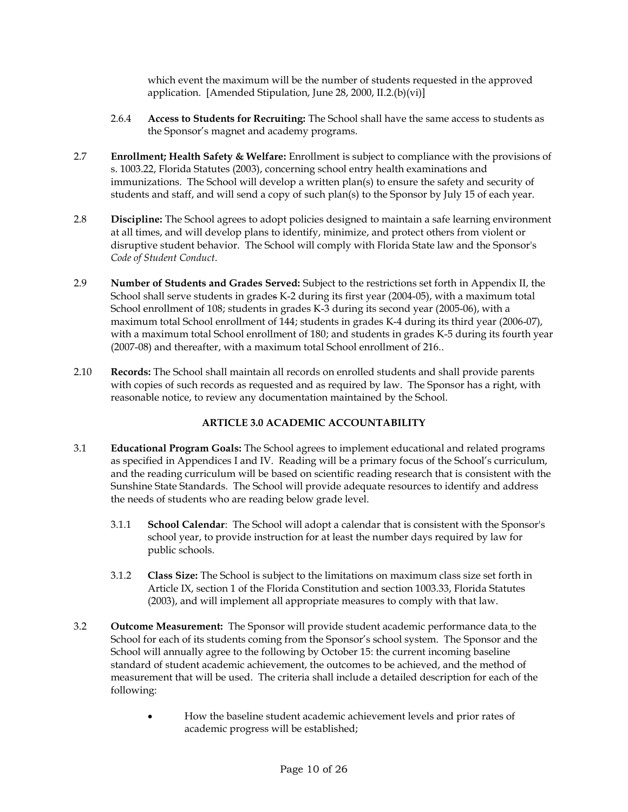which event the maximum will be the number of students requested in the approved application. [Amended Stipulation, June 28, 2000, II.2.(b)(vi)]

- 2.6.4 **Access to Students for Recruiting:** The School shall have the same access to students as the Sponsor's magnet and academy programs.
- 2.7 **Enrollment; Health Safety & Welfare:** Enrollment is subject to compliance with the provisions of s. 1003.22, Florida Statutes (2003), concerning school entry health examinations and immunizations. The School will develop a written plan(s) to ensure the safety and security of students and staff, and will send a copy of such plan(s) to the Sponsor by July 15 of each year.
- 2.8 **Discipline:** The School agrees to adopt policies designed to maintain a safe learning environment at all times, and will develop plans to identify, minimize, and protect others from violent or disruptive student behavior. The School will comply with Florida State law and the Sponsor's *Code of Student Conduct*.
- 2.9 **Number of Students and Grades Served:** Subject to the restrictions set forth in Appendix II, the School shall serve students in grades K-2 during its first year (2004-05), with a maximum total School enrollment of 108; students in grades K-3 during its second year (2005-06), with a maximum total School enrollment of 144; students in grades K-4 during its third year (2006-07), with a maximum total School enrollment of 180; and students in grades K-5 during its fourth year (2007-08) and thereafter, with a maximum total School enrollment of 216..
- 2.10 **Records:** The School shall maintain all records on enrolled students and shall provide parents with copies of such records as requested and as required by law. The Sponsor has a right, with reasonable notice, to review any documentation maintained by the School.

## **ARTICLE 3.0 ACADEMIC ACCOUNTABILITY**

- 3.1 **Educational Program Goals:** The School agrees to implement educational and related programs as specified in Appendices I and IV. Reading will be a primary focus of the School's curriculum, and the reading curriculum will be based on scientific reading research that is consistent with the Sunshine State Standards. The School will provide adequate resources to identify and address the needs of students who are reading below grade level.
	- 3.1.1 **School Calendar**: The School will adopt a calendar that is consistent with the Sponsor's school year, to provide instruction for at least the number days required by law for public schools.
	- 3.1.2 **Class Size:** The School is subject to the limitations on maximum class size set forth in Article IX, section 1 of the Florida Constitution and section 1003.33, Florida Statutes (2003), and will implement all appropriate measures to comply with that law.
- 3.2 **Outcome Measurement:** The Sponsor will provide student academic performance data to the School for each of its students coming from the Sponsor's school system. The Sponsor and the School will annually agree to the following by October 15: the current incoming baseline standard of student academic achievement, the outcomes to be achieved, and the method of measurement that will be used. The criteria shall include a detailed description for each of the following:
	- How the baseline student academic achievement levels and prior rates of academic progress will be established;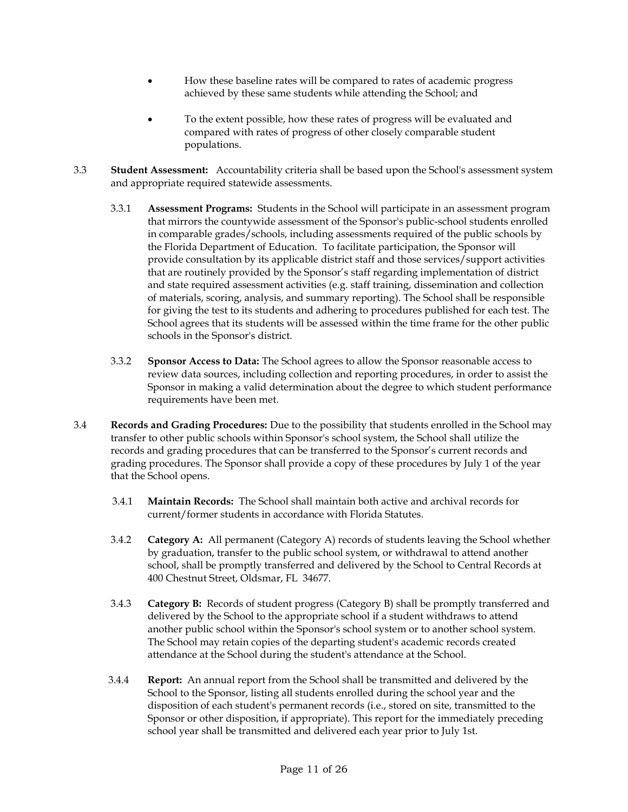- How these baseline rates will be compared to rates of academic progress achieved by these same students while attending the School; and
- To the extent possible, how these rates of progress will be evaluated and compared with rates of progress of other closely comparable student populations.
- 3.3 **Student Assessment:** Accountability criteria shall be based upon the School's assessment system and appropriate required statewide assessments.
	- 3.3.1 **Assessment Programs:** Students in the School will participate in an assessment program that mirrors the countywide assessment of the Sponsor's public-school students enrolled in comparable grades/schools, including assessments required of the public schools by the Florida Department of Education. To facilitate participation, the Sponsor will provide consultation by its applicable district staff and those services/support activities that are routinely provided by the Sponsor's staff regarding implementation of district and state required assessment activities (e.g. staff training, dissemination and collection of materials, scoring, analysis, and summary reporting). The School shall be responsible for giving the test to its students and adhering to procedures published for each test. The School agrees that its students will be assessed within the time frame for the other public schools in the Sponsor's district.
	- 3.3.2 **Sponsor Access to Data:** The School agrees to allow the Sponsor reasonable access to review data sources, including collection and reporting procedures, in order to assist the Sponsor in making a valid determination about the degree to which student performance requirements have been met.
- 3.4 **Records and Grading Procedures:** Due to the possibility that students enrolled in the School may transfer to other public schools within Sponsor's school system, the School shall utilize the records and grading procedures that can be transferred to the Sponsor's current records and grading procedures. The Sponsor shall provide a copy of these procedures by July 1 of the year that the School opens.
	- 3.4.1 **Maintain Records:** The School shall maintain both active and archival records for current/former students in accordance with Florida Statutes.
	- 3.4.2 **Category A:** All permanent (Category A) records of students leaving the School whether by graduation, transfer to the public school system, or withdrawal to attend another school, shall be promptly transferred and delivered by the School to Central Records at 400 Chestnut Street, Oldsmar, FL 34677.
	- 3.4.3 **Category B:** Records of student progress (Category B) shall be promptly transferred and delivered by the School to the appropriate school if a student withdraws to attend another public school within the Sponsor's school system or to another school system. The School may retain copies of the departing student's academic records created attendance at the School during the student's attendance at the School.
	- 3.4.4 **Report:** An annual report from the School shall be transmitted and delivered by the School to the Sponsor, listing all students enrolled during the school year and the disposition of each student's permanent records (i.e., stored on site, transmitted to the Sponsor or other disposition, if appropriate). This report for the immediately preceding school year shall be transmitted and delivered each year prior to July 1st.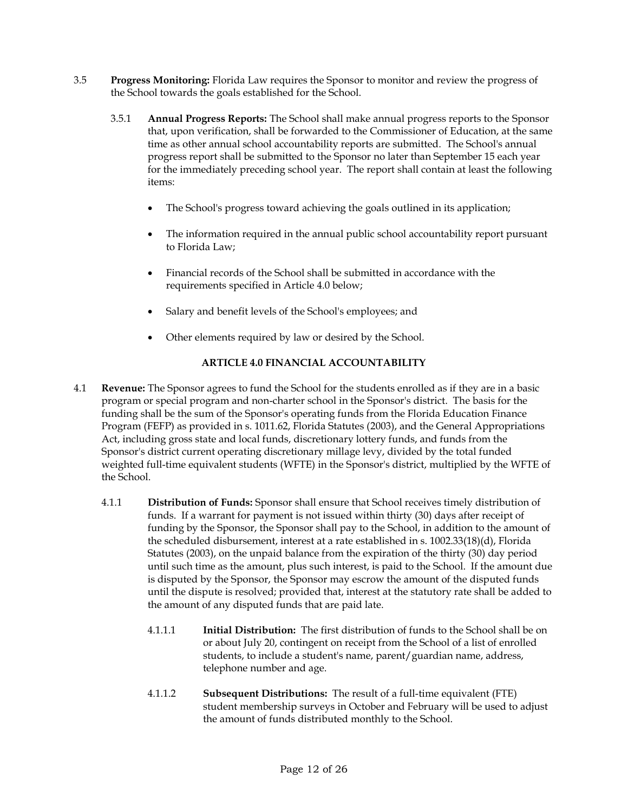- 3.5 **Progress Monitoring:** Florida Law requires the Sponsor to monitor and review the progress of the School towards the goals established for the School.
	- 3.5.1 **Annual Progress Reports:** The School shall make annual progress reports to the Sponsor that, upon verification, shall be forwarded to the Commissioner of Education, at the same time as other annual school accountability reports are submitted. The School's annual progress report shall be submitted to the Sponsor no later than September 15 each year for the immediately preceding school year. The report shall contain at least the following items:
		- The School's progress toward achieving the goals outlined in its application;
		- The information required in the annual public school accountability report pursuant to Florida Law;
		- Financial records of the School shall be submitted in accordance with the requirements specified in Article 4.0 below;
		- Salary and benefit levels of the School's employees; and
		- Other elements required by law or desired by the School.

## **ARTICLE 4.0 FINANCIAL ACCOUNTABILITY**

- 4.1 **Revenue:** The Sponsor agrees to fund the School for the students enrolled as if they are in a basic program or special program and non-charter school in the Sponsor's district. The basis for the funding shall be the sum of the Sponsor's operating funds from the Florida Education Finance Program (FEFP) as provided in s. 1011.62, Florida Statutes (2003), and the General Appropriations Act, including gross state and local funds, discretionary lottery funds, and funds from the Sponsor's district current operating discretionary millage levy, divided by the total funded weighted full-time equivalent students (WFTE) in the Sponsor's district, multiplied by the WFTE of the School.
	- 4.1.1 **Distribution of Funds:** Sponsor shall ensure that School receives timely distribution of funds. If a warrant for payment is not issued within thirty (30) days after receipt of funding by the Sponsor, the Sponsor shall pay to the School, in addition to the amount of the scheduled disbursement, interest at a rate established in s. 1002.33(18)(d), Florida Statutes (2003), on the unpaid balance from the expiration of the thirty (30) day period until such time as the amount, plus such interest, is paid to the School. If the amount due is disputed by the Sponsor, the Sponsor may escrow the amount of the disputed funds until the dispute is resolved; provided that, interest at the statutory rate shall be added to the amount of any disputed funds that are paid late.
		- 4.1.1.1 **Initial Distribution:** The first distribution of funds to the School shall be on or about July 20, contingent on receipt from the School of a list of enrolled students, to include a student's name, parent/guardian name, address, telephone number and age.
		- 4.1.1.2 **Subsequent Distributions:** The result of a full-time equivalent (FTE) student membership surveys in October and February will be used to adjust the amount of funds distributed monthly to the School.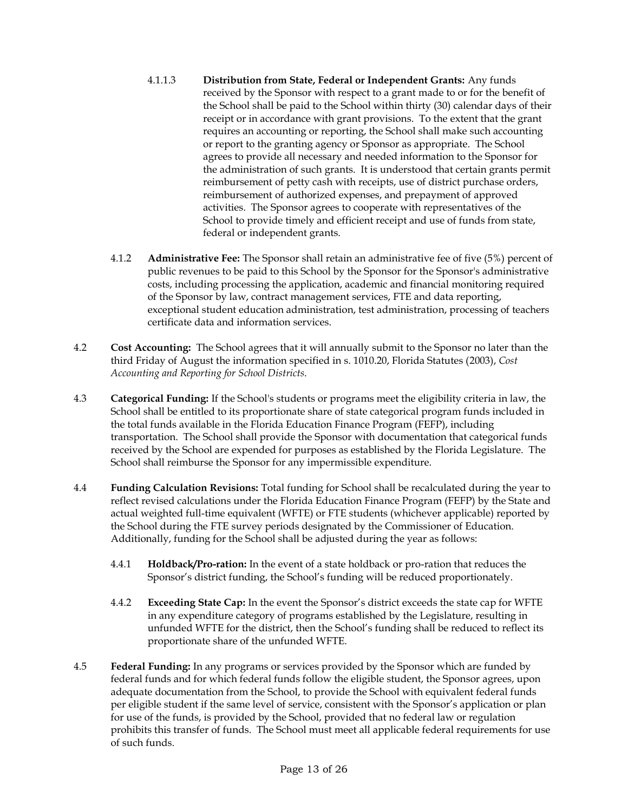- 4.1.1.3 **Distribution from State, Federal or Independent Grants:** Any funds received by the Sponsor with respect to a grant made to or for the benefit of the School shall be paid to the School within thirty (30) calendar days of their receipt or in accordance with grant provisions. To the extent that the grant requires an accounting or reporting, the School shall make such accounting or report to the granting agency or Sponsor as appropriate. The School agrees to provide all necessary and needed information to the Sponsor for the administration of such grants. It is understood that certain grants permit reimbursement of petty cash with receipts, use of district purchase orders, reimbursement of authorized expenses, and prepayment of approved activities. The Sponsor agrees to cooperate with representatives of the School to provide timely and efficient receipt and use of funds from state, federal or independent grants.
- 4.1.2 **Administrative Fee:** The Sponsor shall retain an administrative fee of five (5%) percent of public revenues to be paid to this School by the Sponsor for the Sponsor's administrative costs, including processing the application, academic and financial monitoring required of the Sponsor by law, contract management services, FTE and data reporting, exceptional student education administration, test administration, processing of teachers certificate data and information services.
- 4.2 **Cost Accounting:** The School agrees that it will annually submit to the Sponsor no later than the third Friday of August the information specified in s. 1010.20, Florida Statutes (2003), *Cost Accounting and Reporting for School Districts*.
- 4.3 **Categorical Funding:** If the School's students or programs meet the eligibility criteria in law, the School shall be entitled to its proportionate share of state categorical program funds included in the total funds available in the Florida Education Finance Program (FEFP), including transportation. The School shall provide the Sponsor with documentation that categorical funds received by the School are expended for purposes as established by the Florida Legislature. The School shall reimburse the Sponsor for any impermissible expenditure.
- 4.4 **Funding Calculation Revisions:** Total funding for School shall be recalculated during the year to reflect revised calculations under the Florida Education Finance Program (FEFP) by the State and actual weighted full-time equivalent (WFTE) or FTE students (whichever applicable) reported by the School during the FTE survey periods designated by the Commissioner of Education. Additionally, funding for the School shall be adjusted during the year as follows:
	- 4.4.1 **Holdback/Pro-ration:** In the event of a state holdback or pro-ration that reduces the Sponsor's district funding, the School's funding will be reduced proportionately.
	- 4.4.2 **Exceeding State Cap:** In the event the Sponsor's district exceeds the state cap for WFTE in any expenditure category of programs established by the Legislature, resulting in unfunded WFTE for the district, then the School's funding shall be reduced to reflect its proportionate share of the unfunded WFTE.
- 4.5 **Federal Funding:** In any programs or services provided by the Sponsor which are funded by federal funds and for which federal funds follow the eligible student, the Sponsor agrees, upon adequate documentation from the School, to provide the School with equivalent federal funds per eligible student if the same level of service, consistent with the Sponsor's application or plan for use of the funds, is provided by the School, provided that no federal law or regulation prohibits this transfer of funds. The School must meet all applicable federal requirements for use of such funds.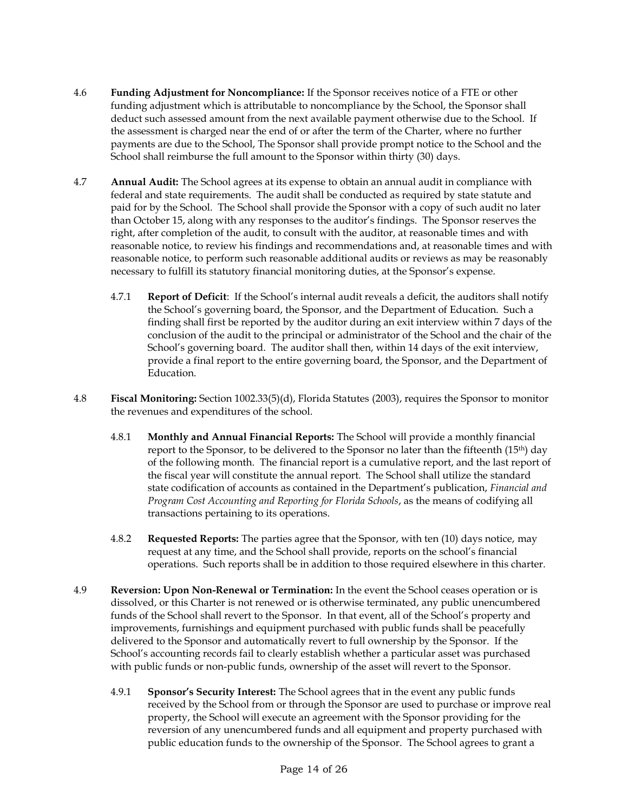- 4.6 **Funding Adjustment for Noncompliance:** If the Sponsor receives notice of a FTE or other funding adjustment which is attributable to noncompliance by the School, the Sponsor shall deduct such assessed amount from the next available payment otherwise due to the School. If the assessment is charged near the end of or after the term of the Charter, where no further payments are due to the School, The Sponsor shall provide prompt notice to the School and the School shall reimburse the full amount to the Sponsor within thirty (30) days.
- 4.7 **Annual Audit:** The School agrees at its expense to obtain an annual audit in compliance with federal and state requirements. The audit shall be conducted as required by state statute and paid for by the School. The School shall provide the Sponsor with a copy of such audit no later than October 15, along with any responses to the auditor's findings. The Sponsor reserves the right, after completion of the audit, to consult with the auditor, at reasonable times and with reasonable notice, to review his findings and recommendations and, at reasonable times and with reasonable notice, to perform such reasonable additional audits or reviews as may be reasonably necessary to fulfill its statutory financial monitoring duties, at the Sponsor's expense.
	- 4.7.1 **Report of Deficit**: If the School's internal audit reveals a deficit, the auditors shall notify the School's governing board, the Sponsor, and the Department of Education. Such a finding shall first be reported by the auditor during an exit interview within 7 days of the conclusion of the audit to the principal or administrator of the School and the chair of the School's governing board. The auditor shall then, within 14 days of the exit interview, provide a final report to the entire governing board, the Sponsor, and the Department of Education.
- 4.8 **Fiscal Monitoring:** Section 1002.33(5)(d), Florida Statutes (2003), requires the Sponsor to monitor the revenues and expenditures of the school.
	- 4.8.1 **Monthly and Annual Financial Reports:** The School will provide a monthly financial report to the Sponsor, to be delivered to the Sponsor no later than the fifteenth (15th) day of the following month. The financial report is a cumulative report, and the last report of the fiscal year will constitute the annual report. The School shall utilize the standard state codification of accounts as contained in the Department's publication, *Financial and Program Cost Accounting and Reporting for Florida Schools*, as the means of codifying all transactions pertaining to its operations.
	- 4.8.2 **Requested Reports:** The parties agree that the Sponsor, with ten (10) days notice, may request at any time, and the School shall provide, reports on the school's financial operations. Such reports shall be in addition to those required elsewhere in this charter.
- 4.9 **Reversion: Upon Non-Renewal or Termination:** In the event the School ceases operation or is dissolved, or this Charter is not renewed or is otherwise terminated, any public unencumbered funds of the School shall revert to the Sponsor. In that event, all of the School's property and improvements, furnishings and equipment purchased with public funds shall be peacefully delivered to the Sponsor and automatically revert to full ownership by the Sponsor. If the School's accounting records fail to clearly establish whether a particular asset was purchased with public funds or non-public funds, ownership of the asset will revert to the Sponsor.
	- 4.9.1 **Sponsor's Security Interest:** The School agrees that in the event any public funds received by the School from or through the Sponsor are used to purchase or improve real property, the School will execute an agreement with the Sponsor providing for the reversion of any unencumbered funds and all equipment and property purchased with public education funds to the ownership of the Sponsor. The School agrees to grant a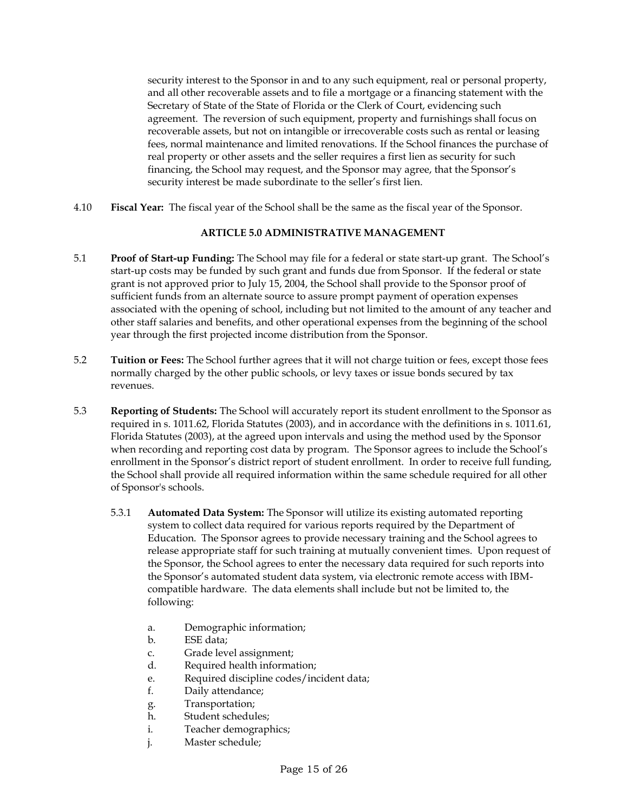security interest to the Sponsor in and to any such equipment, real or personal property, and all other recoverable assets and to file a mortgage or a financing statement with the Secretary of State of the State of Florida or the Clerk of Court, evidencing such agreement. The reversion of such equipment, property and furnishings shall focus on recoverable assets, but not on intangible or irrecoverable costs such as rental or leasing fees, normal maintenance and limited renovations. If the School finances the purchase of real property or other assets and the seller requires a first lien as security for such financing, the School may request, and the Sponsor may agree, that the Sponsor's security interest be made subordinate to the seller's first lien.

4.10 **Fiscal Year:** The fiscal year of the School shall be the same as the fiscal year of the Sponsor.

## **ARTICLE 5.0 ADMINISTRATIVE MANAGEMENT**

- 5.1 **Proof of Start-up Funding:** The School may file for a federal or state start-up grant. The School's start-up costs may be funded by such grant and funds due from Sponsor. If the federal or state grant is not approved prior to July 15, 2004, the School shall provide to the Sponsor proof of sufficient funds from an alternate source to assure prompt payment of operation expenses associated with the opening of school, including but not limited to the amount of any teacher and other staff salaries and benefits, and other operational expenses from the beginning of the school year through the first projected income distribution from the Sponsor.
- 5.2 **Tuition or Fees:** The School further agrees that it will not charge tuition or fees, except those fees normally charged by the other public schools, or levy taxes or issue bonds secured by tax revenues.
- 5.3 **Reporting of Students:** The School will accurately report its student enrollment to the Sponsor as required in s. 1011.62, Florida Statutes (2003), and in accordance with the definitions in s. 1011.61, Florida Statutes (2003), at the agreed upon intervals and using the method used by the Sponsor when recording and reporting cost data by program. The Sponsor agrees to include the School's enrollment in the Sponsor's district report of student enrollment. In order to receive full funding, the School shall provide all required information within the same schedule required for all other of Sponsor's schools.
	- 5.3.1 **Automated Data System:** The Sponsor will utilize its existing automated reporting system to collect data required for various reports required by the Department of Education. The Sponsor agrees to provide necessary training and the School agrees to release appropriate staff for such training at mutually convenient times. Upon request of the Sponsor, the School agrees to enter the necessary data required for such reports into the Sponsor's automated student data system, via electronic remote access with IBMcompatible hardware. The data elements shall include but not be limited to, the following:
		- a. Demographic information;
		- b. ESE data;
		- c. Grade level assignment;
		- d. Required health information;
		- e. Required discipline codes/incident data;
		- f. Daily attendance;
		- g. Transportation;
		- h. Student schedules;
		- i. Teacher demographics;
		- j. Master schedule;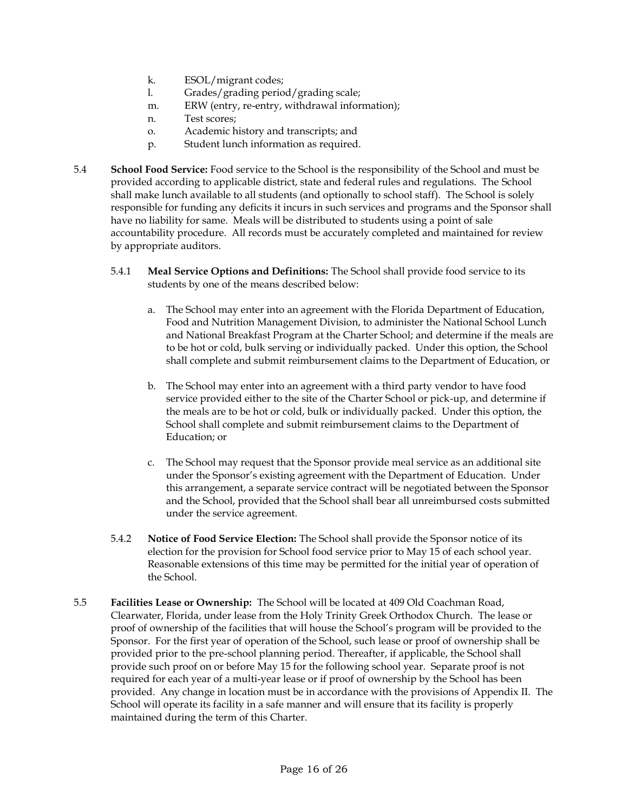- k. ESOL/migrant codes;
- l. Grades/grading period/grading scale;
- m. ERW (entry, re-entry, withdrawal information);
- n. Test scores;
- o. Academic history and transcripts; and
- p. Student lunch information as required.
- 5.4 **School Food Service:** Food service to the School is the responsibility of the School and must be provided according to applicable district, state and federal rules and regulations. The School shall make lunch available to all students (and optionally to school staff). The School is solely responsible for funding any deficits it incurs in such services and programs and the Sponsor shall have no liability for same. Meals will be distributed to students using a point of sale accountability procedure. All records must be accurately completed and maintained for review by appropriate auditors.
	- 5.4.1 **Meal Service Options and Definitions:** The School shall provide food service to its students by one of the means described below:
		- a. The School may enter into an agreement with the Florida Department of Education, Food and Nutrition Management Division, to administer the National School Lunch and National Breakfast Program at the Charter School; and determine if the meals are to be hot or cold, bulk serving or individually packed. Under this option, the School shall complete and submit reimbursement claims to the Department of Education, or
		- b. The School may enter into an agreement with a third party vendor to have food service provided either to the site of the Charter School or pick-up, and determine if the meals are to be hot or cold, bulk or individually packed. Under this option, the School shall complete and submit reimbursement claims to the Department of Education; or
		- c. The School may request that the Sponsor provide meal service as an additional site under the Sponsor's existing agreement with the Department of Education. Under this arrangement, a separate service contract will be negotiated between the Sponsor and the School, provided that the School shall bear all unreimbursed costs submitted under the service agreement.
	- 5.4.2 **Notice of Food Service Election:** The School shall provide the Sponsor notice of its election for the provision for School food service prior to May 15 of each school year. Reasonable extensions of this time may be permitted for the initial year of operation of the School.
- 5.5 **Facilities Lease or Ownership:** The School will be located at 409 Old Coachman Road, Clearwater, Florida, under lease from the Holy Trinity Greek Orthodox Church. The lease or proof of ownership of the facilities that will house the School's program will be provided to the Sponsor. For the first year of operation of the School, such lease or proof of ownership shall be provided prior to the pre-school planning period. Thereafter, if applicable, the School shall provide such proof on or before May 15 for the following school year. Separate proof is not required for each year of a multi-year lease or if proof of ownership by the School has been provided. Any change in location must be in accordance with the provisions of Appendix II. The School will operate its facility in a safe manner and will ensure that its facility is properly maintained during the term of this Charter.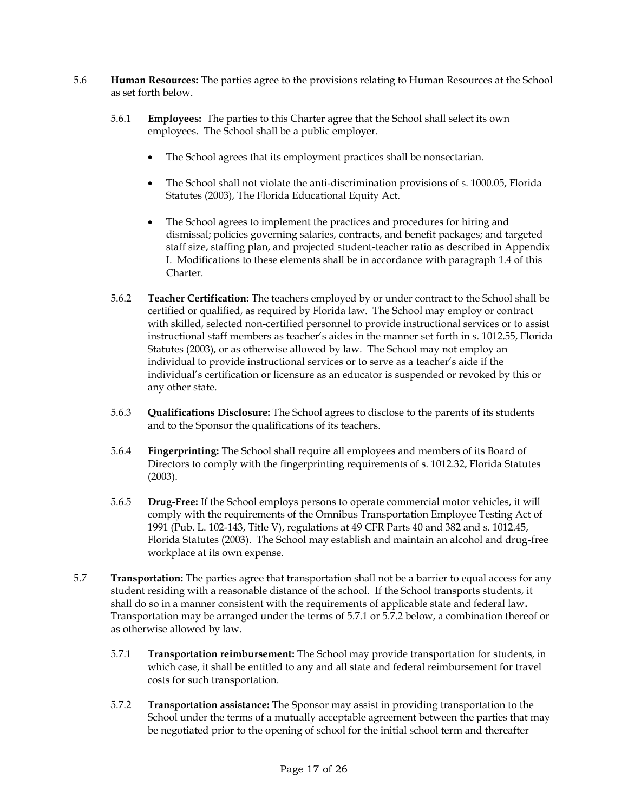- 5.6 **Human Resources:** The parties agree to the provisions relating to Human Resources at the School as set forth below.
	- 5.6.1 **Employees:** The parties to this Charter agree that the School shall select its own employees. The School shall be a public employer.
		- The School agrees that its employment practices shall be nonsectarian.
		- The School shall not violate the anti-discrimination provisions of s. 1000.05, Florida Statutes (2003), The Florida Educational Equity Act.
		- The School agrees to implement the practices and procedures for hiring and dismissal; policies governing salaries, contracts, and benefit packages; and targeted staff size, staffing plan, and projected student-teacher ratio as described in Appendix I. Modifications to these elements shall be in accordance with paragraph 1.4 of this Charter.
	- 5.6.2 **Teacher Certification:** The teachers employed by or under contract to the School shall be certified or qualified, as required by Florida law. The School may employ or contract with skilled, selected non-certified personnel to provide instructional services or to assist instructional staff members as teacher's aides in the manner set forth in s. 1012.55, Florida Statutes (2003), or as otherwise allowed by law. The School may not employ an individual to provide instructional services or to serve as a teacher's aide if the individual's certification or licensure as an educator is suspended or revoked by this or any other state.
	- 5.6.3 **Qualifications Disclosure:** The School agrees to disclose to the parents of its students and to the Sponsor the qualifications of its teachers.
	- 5.6.4 **Fingerprinting:** The School shall require all employees and members of its Board of Directors to comply with the fingerprinting requirements of s. 1012.32, Florida Statutes (2003).
	- 5.6.5 **Drug-Free:** If the School employs persons to operate commercial motor vehicles, it will comply with the requirements of the Omnibus Transportation Employee Testing Act of 1991 (Pub. L. 102-143, Title V), regulations at 49 CFR Parts 40 and 382 and s. 1012.45, Florida Statutes (2003). The School may establish and maintain an alcohol and drug-free workplace at its own expense.
- 5.7 **Transportation:** The parties agree that transportation shall not be a barrier to equal access for any student residing with a reasonable distance of the school. If the School transports students, it shall do so in a manner consistent with the requirements of applicable state and federal law**.**  Transportation may be arranged under the terms of 5.7.1 or 5.7.2 below, a combination thereof or as otherwise allowed by law.
	- 5.7.1 **Transportation reimbursement:** The School may provide transportation for students, in which case, it shall be entitled to any and all state and federal reimbursement for travel costs for such transportation.
	- 5.7.2 **Transportation assistance:** The Sponsor may assist in providing transportation to the School under the terms of a mutually acceptable agreement between the parties that may be negotiated prior to the opening of school for the initial school term and thereafter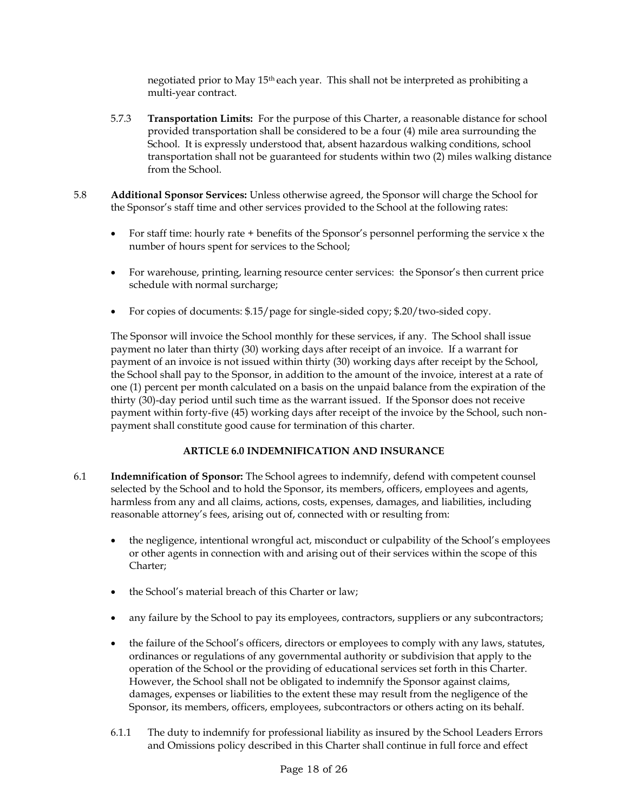negotiated prior to May 15th each year. This shall not be interpreted as prohibiting a multi-year contract.

- 5.7.3 **Transportation Limits:** For the purpose of this Charter, a reasonable distance for school provided transportation shall be considered to be a four (4) mile area surrounding the School. It is expressly understood that, absent hazardous walking conditions, school transportation shall not be guaranteed for students within two (2) miles walking distance from the School.
- 5.8 **Additional Sponsor Services:** Unless otherwise agreed, the Sponsor will charge the School for the Sponsor's staff time and other services provided to the School at the following rates:
	- For staff time: hourly rate + benefits of the Sponsor's personnel performing the service x the number of hours spent for services to the School;
	- For warehouse, printing, learning resource center services: the Sponsor's then current price schedule with normal surcharge;
	- For copies of documents: \$.15/page for single-sided copy; \$.20/two-sided copy.

The Sponsor will invoice the School monthly for these services, if any. The School shall issue payment no later than thirty (30) working days after receipt of an invoice. If a warrant for payment of an invoice is not issued within thirty (30) working days after receipt by the School, the School shall pay to the Sponsor, in addition to the amount of the invoice, interest at a rate of one (1) percent per month calculated on a basis on the unpaid balance from the expiration of the thirty (30)-day period until such time as the warrant issued. If the Sponsor does not receive payment within forty-five (45) working days after receipt of the invoice by the School, such nonpayment shall constitute good cause for termination of this charter.

## **ARTICLE 6.0 INDEMNIFICATION AND INSURANCE**

- 6.1 **Indemnification of Sponsor:** The School agrees to indemnify, defend with competent counsel selected by the School and to hold the Sponsor, its members, officers, employees and agents, harmless from any and all claims, actions, costs, expenses, damages, and liabilities, including reasonable attorney's fees, arising out of, connected with or resulting from:
	- the negligence, intentional wrongful act, misconduct or culpability of the School's employees or other agents in connection with and arising out of their services within the scope of this Charter;
	- the School's material breach of this Charter or law;
	- any failure by the School to pay its employees, contractors, suppliers or any subcontractors;
	- the failure of the School's officers, directors or employees to comply with any laws, statutes, ordinances or regulations of any governmental authority or subdivision that apply to the operation of the School or the providing of educational services set forth in this Charter. However, the School shall not be obligated to indemnify the Sponsor against claims, damages, expenses or liabilities to the extent these may result from the negligence of the Sponsor, its members, officers, employees, subcontractors or others acting on its behalf.
	- 6.1.1 The duty to indemnify for professional liability as insured by the School Leaders Errors and Omissions policy described in this Charter shall continue in full force and effect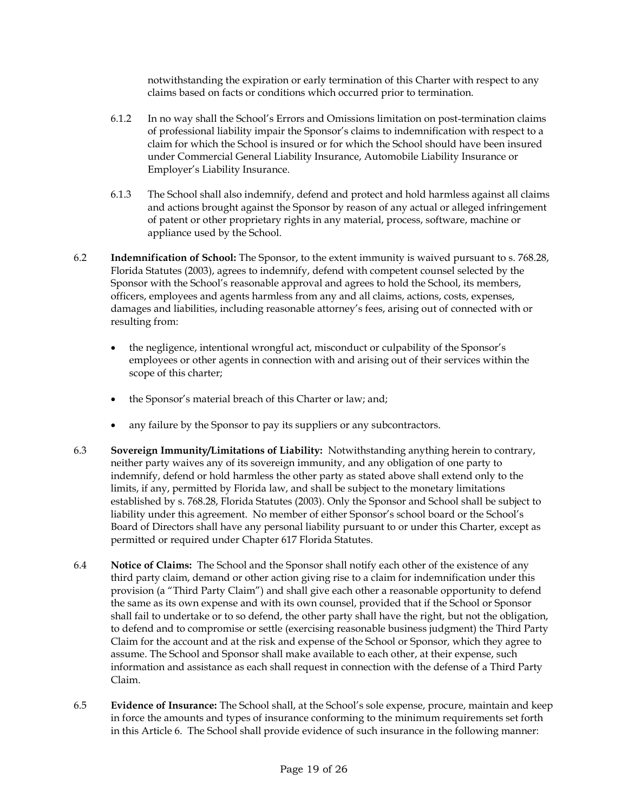notwithstanding the expiration or early termination of this Charter with respect to any claims based on facts or conditions which occurred prior to termination.

- 6.1.2 In no way shall the School's Errors and Omissions limitation on post-termination claims of professional liability impair the Sponsor's claims to indemnification with respect to a claim for which the School is insured or for which the School should have been insured under Commercial General Liability Insurance, Automobile Liability Insurance or Employer's Liability Insurance.
- 6.1.3 The School shall also indemnify, defend and protect and hold harmless against all claims and actions brought against the Sponsor by reason of any actual or alleged infringement of patent or other proprietary rights in any material, process, software, machine or appliance used by the School.
- 6.2 **Indemnification of School:** The Sponsor, to the extent immunity is waived pursuant to s. 768.28, Florida Statutes (2003), agrees to indemnify, defend with competent counsel selected by the Sponsor with the School's reasonable approval and agrees to hold the School, its members, officers, employees and agents harmless from any and all claims, actions, costs, expenses, damages and liabilities, including reasonable attorney's fees, arising out of connected with or resulting from:
	- the negligence, intentional wrongful act, misconduct or culpability of the Sponsor's employees or other agents in connection with and arising out of their services within the scope of this charter;
	- the Sponsor's material breach of this Charter or law; and;
	- any failure by the Sponsor to pay its suppliers or any subcontractors.
- 6.3 **Sovereign Immunity/Limitations of Liability:** Notwithstanding anything herein to contrary, neither party waives any of its sovereign immunity, and any obligation of one party to indemnify, defend or hold harmless the other party as stated above shall extend only to the limits, if any, permitted by Florida law, and shall be subject to the monetary limitations established by s. 768.28, Florida Statutes (2003). Only the Sponsor and School shall be subject to liability under this agreement. No member of either Sponsor's school board or the School's Board of Directors shall have any personal liability pursuant to or under this Charter, except as permitted or required under Chapter 617 Florida Statutes.
- 6.4 **Notice of Claims:** The School and the Sponsor shall notify each other of the existence of any third party claim, demand or other action giving rise to a claim for indemnification under this provision (a "Third Party Claim") and shall give each other a reasonable opportunity to defend the same as its own expense and with its own counsel, provided that if the School or Sponsor shall fail to undertake or to so defend, the other party shall have the right, but not the obligation, to defend and to compromise or settle (exercising reasonable business judgment) the Third Party Claim for the account and at the risk and expense of the School or Sponsor, which they agree to assume. The School and Sponsor shall make available to each other, at their expense, such information and assistance as each shall request in connection with the defense of a Third Party Claim.
- 6.5 **Evidence of Insurance:** The School shall, at the School's sole expense, procure, maintain and keep in force the amounts and types of insurance conforming to the minimum requirements set forth in this Article 6. The School shall provide evidence of such insurance in the following manner: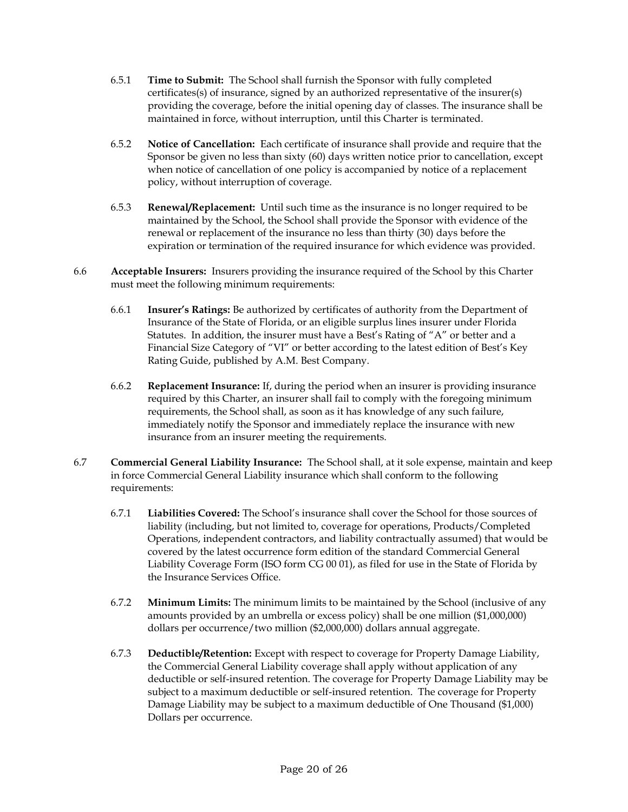- 6.5.1 **Time to Submit:** The School shall furnish the Sponsor with fully completed certificates(s) of insurance, signed by an authorized representative of the insurer(s) providing the coverage, before the initial opening day of classes. The insurance shall be maintained in force, without interruption, until this Charter is terminated.
- 6.5.2 **Notice of Cancellation:** Each certificate of insurance shall provide and require that the Sponsor be given no less than sixty (60) days written notice prior to cancellation, except when notice of cancellation of one policy is accompanied by notice of a replacement policy, without interruption of coverage.
- 6.5.3 **Renewal/Replacement:** Until such time as the insurance is no longer required to be maintained by the School, the School shall provide the Sponsor with evidence of the renewal or replacement of the insurance no less than thirty (30) days before the expiration or termination of the required insurance for which evidence was provided.
- 6.6 **Acceptable Insurers:** Insurers providing the insurance required of the School by this Charter must meet the following minimum requirements:
	- 6.6.1 **Insurer's Ratings:** Be authorized by certificates of authority from the Department of Insurance of the State of Florida, or an eligible surplus lines insurer under Florida Statutes. In addition, the insurer must have a Best's Rating of "A" or better and a Financial Size Category of "VI" or better according to the latest edition of Best's Key Rating Guide, published by A.M. Best Company.
	- 6.6.2 **Replacement Insurance:** If, during the period when an insurer is providing insurance required by this Charter, an insurer shall fail to comply with the foregoing minimum requirements, the School shall, as soon as it has knowledge of any such failure, immediately notify the Sponsor and immediately replace the insurance with new insurance from an insurer meeting the requirements.
- 6.7 **Commercial General Liability Insurance:** The School shall, at it sole expense, maintain and keep in force Commercial General Liability insurance which shall conform to the following requirements:
	- 6.7.1 **Liabilities Covered:** The School's insurance shall cover the School for those sources of liability (including, but not limited to, coverage for operations, Products/Completed Operations, independent contractors, and liability contractually assumed) that would be covered by the latest occurrence form edition of the standard Commercial General Liability Coverage Form (ISO form CG 00 01), as filed for use in the State of Florida by the Insurance Services Office.
	- 6.7.2 **Minimum Limits:** The minimum limits to be maintained by the School (inclusive of any amounts provided by an umbrella or excess policy) shall be one million (\$1,000,000) dollars per occurrence/two million (\$2,000,000) dollars annual aggregate.
	- 6.7.3 **Deductible/Retention:** Except with respect to coverage for Property Damage Liability, the Commercial General Liability coverage shall apply without application of any deductible or self-insured retention. The coverage for Property Damage Liability may be subject to a maximum deductible or self-insured retention. The coverage for Property Damage Liability may be subject to a maximum deductible of One Thousand (\$1,000) Dollars per occurrence.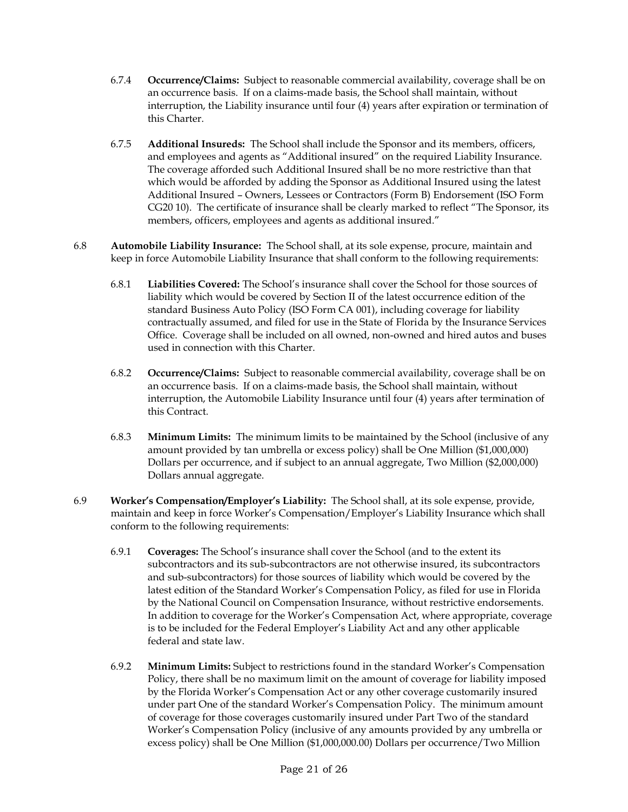- 6.7.4 **Occurrence/Claims:** Subject to reasonable commercial availability, coverage shall be on an occurrence basis. If on a claims-made basis, the School shall maintain, without interruption, the Liability insurance until four (4) years after expiration or termination of this Charter.
- 6.7.5 **Additional Insureds:** The School shall include the Sponsor and its members, officers, and employees and agents as "Additional insured" on the required Liability Insurance. The coverage afforded such Additional Insured shall be no more restrictive than that which would be afforded by adding the Sponsor as Additional Insured using the latest Additional Insured – Owners, Lessees or Contractors (Form B) Endorsement (ISO Form CG20 10). The certificate of insurance shall be clearly marked to reflect "The Sponsor, its members, officers, employees and agents as additional insured."
- 6.8 **Automobile Liability Insurance:** The School shall, at its sole expense, procure, maintain and keep in force Automobile Liability Insurance that shall conform to the following requirements:
	- 6.8.1 **Liabilities Covered:** The School's insurance shall cover the School for those sources of liability which would be covered by Section II of the latest occurrence edition of the standard Business Auto Policy (ISO Form CA 001), including coverage for liability contractually assumed, and filed for use in the State of Florida by the Insurance Services Office. Coverage shall be included on all owned, non-owned and hired autos and buses used in connection with this Charter.
	- 6.8.2 **Occurrence/Claims:** Subject to reasonable commercial availability, coverage shall be on an occurrence basis. If on a claims-made basis, the School shall maintain, without interruption, the Automobile Liability Insurance until four (4) years after termination of this Contract.
	- 6.8.3 **Minimum Limits:** The minimum limits to be maintained by the School (inclusive of any amount provided by tan umbrella or excess policy) shall be One Million (\$1,000,000) Dollars per occurrence, and if subject to an annual aggregate, Two Million (\$2,000,000) Dollars annual aggregate.
- 6.9 **Worker's Compensation/Employer's Liability:** The School shall, at its sole expense, provide, maintain and keep in force Worker's Compensation/Employer's Liability Insurance which shall conform to the following requirements:
	- 6.9.1 **Coverages:** The School's insurance shall cover the School (and to the extent its subcontractors and its sub-subcontractors are not otherwise insured, its subcontractors and sub-subcontractors) for those sources of liability which would be covered by the latest edition of the Standard Worker's Compensation Policy, as filed for use in Florida by the National Council on Compensation Insurance, without restrictive endorsements. In addition to coverage for the Worker's Compensation Act, where appropriate, coverage is to be included for the Federal Employer's Liability Act and any other applicable federal and state law.
	- 6.9.2 **Minimum Limits:** Subject to restrictions found in the standard Worker's Compensation Policy, there shall be no maximum limit on the amount of coverage for liability imposed by the Florida Worker's Compensation Act or any other coverage customarily insured under part One of the standard Worker's Compensation Policy. The minimum amount of coverage for those coverages customarily insured under Part Two of the standard Worker's Compensation Policy (inclusive of any amounts provided by any umbrella or excess policy) shall be One Million (\$1,000,000.00) Dollars per occurrence/Two Million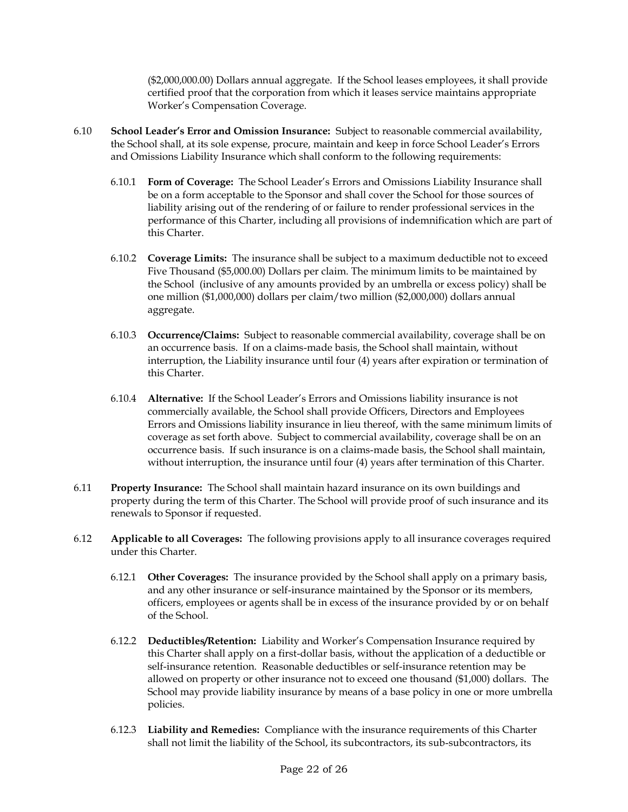(\$2,000,000.00) Dollars annual aggregate. If the School leases employees, it shall provide certified proof that the corporation from which it leases service maintains appropriate Worker's Compensation Coverage.

- 6.10 **School Leader's Error and Omission Insurance:** Subject to reasonable commercial availability, the School shall, at its sole expense, procure, maintain and keep in force School Leader's Errors and Omissions Liability Insurance which shall conform to the following requirements:
	- 6.10.1 **Form of Coverage:** The School Leader's Errors and Omissions Liability Insurance shall be on a form acceptable to the Sponsor and shall cover the School for those sources of liability arising out of the rendering of or failure to render professional services in the performance of this Charter, including all provisions of indemnification which are part of this Charter.
	- 6.10.2 **Coverage Limits:** The insurance shall be subject to a maximum deductible not to exceed Five Thousand (\$5,000.00) Dollars per claim. The minimum limits to be maintained by the School (inclusive of any amounts provided by an umbrella or excess policy) shall be one million (\$1,000,000) dollars per claim/two million (\$2,000,000) dollars annual aggregate.
	- 6.10.3 **Occurrence/Claims:** Subject to reasonable commercial availability, coverage shall be on an occurrence basis. If on a claims-made basis, the School shall maintain, without interruption, the Liability insurance until four (4) years after expiration or termination of this Charter.
	- 6.10.4 **Alternative:** If the School Leader's Errors and Omissions liability insurance is not commercially available, the School shall provide Officers, Directors and Employees Errors and Omissions liability insurance in lieu thereof, with the same minimum limits of coverage as set forth above. Subject to commercial availability, coverage shall be on an occurrence basis. If such insurance is on a claims-made basis, the School shall maintain, without interruption, the insurance until four (4) years after termination of this Charter.
- 6.11 **Property Insurance:** The School shall maintain hazard insurance on its own buildings and property during the term of this Charter. The School will provide proof of such insurance and its renewals to Sponsor if requested.
- 6.12 **Applicable to all Coverages:** The following provisions apply to all insurance coverages required under this Charter.
	- 6.12.1 **Other Coverages:** The insurance provided by the School shall apply on a primary basis, and any other insurance or self-insurance maintained by the Sponsor or its members, officers, employees or agents shall be in excess of the insurance provided by or on behalf of the School.
	- 6.12.2 **Deductibles/Retention:** Liability and Worker's Compensation Insurance required by this Charter shall apply on a first-dollar basis, without the application of a deductible or self-insurance retention. Reasonable deductibles or self-insurance retention may be allowed on property or other insurance not to exceed one thousand (\$1,000) dollars. The School may provide liability insurance by means of a base policy in one or more umbrella policies.
	- 6.12.3 **Liability and Remedies:** Compliance with the insurance requirements of this Charter shall not limit the liability of the School, its subcontractors, its sub-subcontractors, its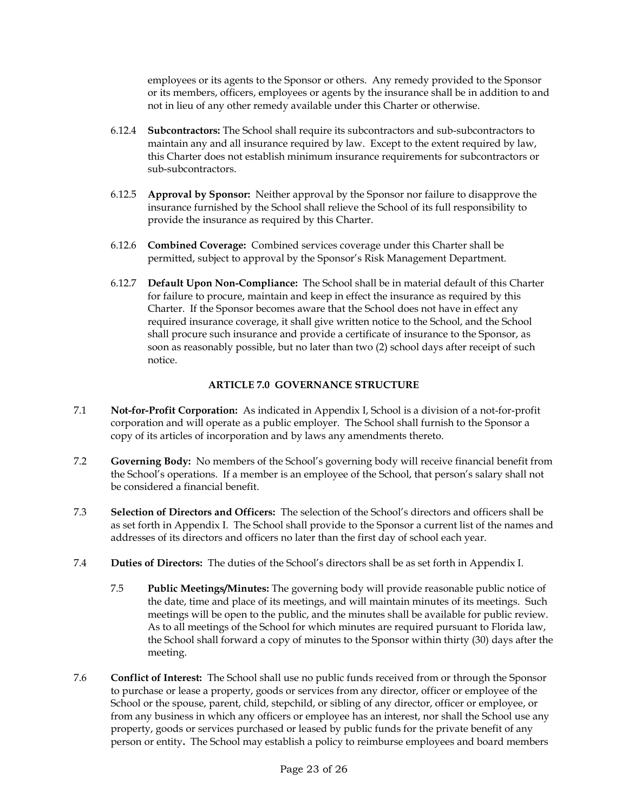employees or its agents to the Sponsor or others. Any remedy provided to the Sponsor or its members, officers, employees or agents by the insurance shall be in addition to and not in lieu of any other remedy available under this Charter or otherwise.

- 6.12.4 **Subcontractors:** The School shall require its subcontractors and sub-subcontractors to maintain any and all insurance required by law. Except to the extent required by law, this Charter does not establish minimum insurance requirements for subcontractors or sub-subcontractors.
- 6.12.5 **Approval by Sponsor:** Neither approval by the Sponsor nor failure to disapprove the insurance furnished by the School shall relieve the School of its full responsibility to provide the insurance as required by this Charter.
- 6.12.6 **Combined Coverage:** Combined services coverage under this Charter shall be permitted, subject to approval by the Sponsor's Risk Management Department.
- 6.12.7 **Default Upon Non-Compliance:** The School shall be in material default of this Charter for failure to procure, maintain and keep in effect the insurance as required by this Charter. If the Sponsor becomes aware that the School does not have in effect any required insurance coverage, it shall give written notice to the School, and the School shall procure such insurance and provide a certificate of insurance to the Sponsor, as soon as reasonably possible, but no later than two (2) school days after receipt of such notice.

## **ARTICLE 7.0 GOVERNANCE STRUCTURE**

- 7.1 **Not-for-Profit Corporation:** As indicated in Appendix I, School is a division of a not-for-profit corporation and will operate as a public employer. The School shall furnish to the Sponsor a copy of its articles of incorporation and by laws any amendments thereto.
- 7.2 **Governing Body:** No members of the School's governing body will receive financial benefit from the School's operations. If a member is an employee of the School, that person's salary shall not be considered a financial benefit.
- 7.3 **Selection of Directors and Officers:** The selection of the School's directors and officers shall be as set forth in Appendix I. The School shall provide to the Sponsor a current list of the names and addresses of its directors and officers no later than the first day of school each year.
- 7.4 **Duties of Directors:** The duties of the School's directors shall be as set forth in Appendix I.
	- 7.5 **Public Meetings/Minutes:** The governing body will provide reasonable public notice of the date, time and place of its meetings, and will maintain minutes of its meetings. Such meetings will be open to the public, and the minutes shall be available for public review. As to all meetings of the School for which minutes are required pursuant to Florida law, the School shall forward a copy of minutes to the Sponsor within thirty (30) days after the meeting.
- 7.6 **Conflict of Interest:** The School shall use no public funds received from or through the Sponsor to purchase or lease a property, goods or services from any director, officer or employee of the School or the spouse, parent, child, stepchild, or sibling of any director, officer or employee, or from any business in which any officers or employee has an interest, nor shall the School use any property, goods or services purchased or leased by public funds for the private benefit of any person or entity**.** The School may establish a policy to reimburse employees and board members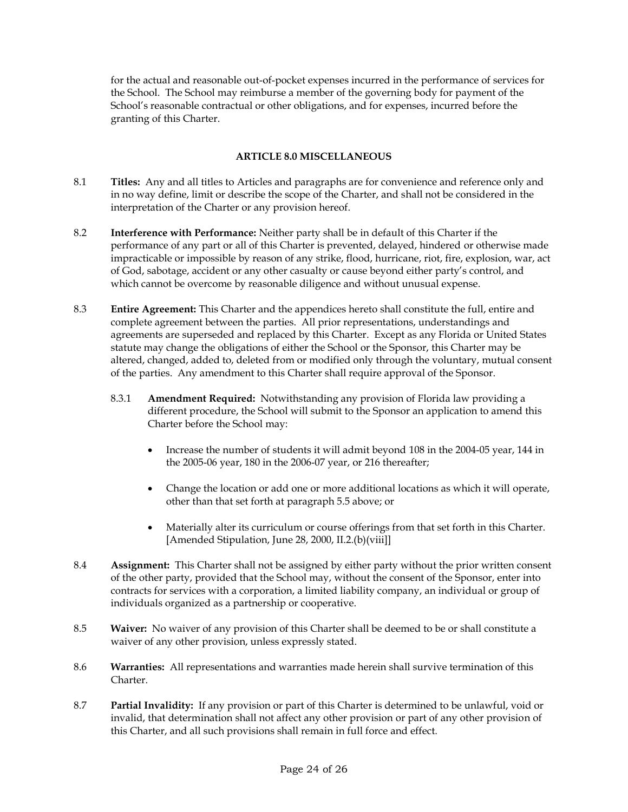for the actual and reasonable out-of-pocket expenses incurred in the performance of services for the School. The School may reimburse a member of the governing body for payment of the School's reasonable contractual or other obligations, and for expenses, incurred before the granting of this Charter.

### **ARTICLE 8.0 MISCELLANEOUS**

- 8.1 **Titles:** Any and all titles to Articles and paragraphs are for convenience and reference only and in no way define, limit or describe the scope of the Charter, and shall not be considered in the interpretation of the Charter or any provision hereof.
- 8.2 **Interference with Performance:** Neither party shall be in default of this Charter if the performance of any part or all of this Charter is prevented, delayed, hindered or otherwise made impracticable or impossible by reason of any strike, flood, hurricane, riot, fire, explosion, war, act of God, sabotage, accident or any other casualty or cause beyond either party's control, and which cannot be overcome by reasonable diligence and without unusual expense.
- 8.3 **Entire Agreement:** This Charter and the appendices hereto shall constitute the full, entire and complete agreement between the parties. All prior representations, understandings and agreements are superseded and replaced by this Charter. Except as any Florida or United States statute may change the obligations of either the School or the Sponsor, this Charter may be altered, changed, added to, deleted from or modified only through the voluntary, mutual consent of the parties. Any amendment to this Charter shall require approval of the Sponsor.
	- 8.3.1 **Amendment Required:** Notwithstanding any provision of Florida law providing a different procedure, the School will submit to the Sponsor an application to amend this Charter before the School may:
		- Increase the number of students it will admit beyond 108 in the 2004-05 year, 144 in the 2005-06 year, 180 in the 2006-07 year, or 216 thereafter;
		- Change the location or add one or more additional locations as which it will operate, other than that set forth at paragraph 5.5 above; or
		- Materially alter its curriculum or course offerings from that set forth in this Charter. [Amended Stipulation, June 28, 2000, II.2.(b)(viii]]
- 8.4 **Assignment:** This Charter shall not be assigned by either party without the prior written consent of the other party, provided that the School may, without the consent of the Sponsor, enter into contracts for services with a corporation, a limited liability company, an individual or group of individuals organized as a partnership or cooperative.
- 8.5 **Waiver:** No waiver of any provision of this Charter shall be deemed to be or shall constitute a waiver of any other provision, unless expressly stated.
- 8.6 **Warranties:** All representations and warranties made herein shall survive termination of this Charter.
- 8.7 **Partial Invalidity:** If any provision or part of this Charter is determined to be unlawful, void or invalid, that determination shall not affect any other provision or part of any other provision of this Charter, and all such provisions shall remain in full force and effect.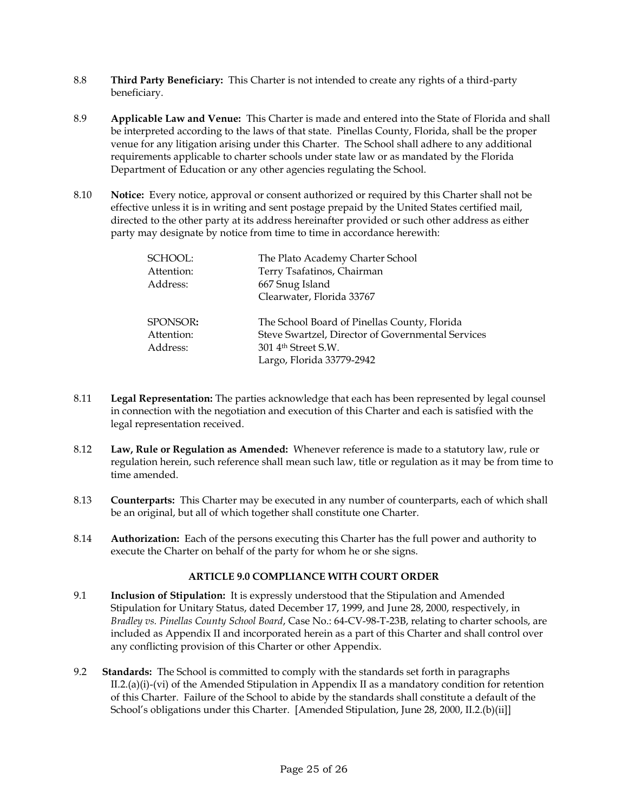- 8.8 **Third Party Beneficiary:** This Charter is not intended to create any rights of a third-party beneficiary.
- 8.9 **Applicable Law and Venue:** This Charter is made and entered into the State of Florida and shall be interpreted according to the laws of that state. Pinellas County, Florida, shall be the proper venue for any litigation arising under this Charter. The School shall adhere to any additional requirements applicable to charter schools under state law or as mandated by the Florida Department of Education or any other agencies regulating the School.
- 8.10 **Notice:** Every notice, approval or consent authorized or required by this Charter shall not be effective unless it is in writing and sent postage prepaid by the United States certified mail, directed to the other party at its address hereinafter provided or such other address as either party may designate by notice from time to time in accordance herewith:

| SCHOOL:<br>Attention:<br>Address:  | The Plato Academy Charter School<br>Terry Tsafatinos, Chairman<br>667 Snug Island<br>Clearwater, Florida 33767                                                    |
|------------------------------------|-------------------------------------------------------------------------------------------------------------------------------------------------------------------|
| SPONSOR:<br>Attention:<br>Address: | The School Board of Pinellas County, Florida<br>Steve Swartzel, Director of Governmental Services<br>301 4 <sup>th</sup> Street S.W.<br>Largo, Florida 33779-2942 |

- 8.11 **Legal Representation:** The parties acknowledge that each has been represented by legal counsel in connection with the negotiation and execution of this Charter and each is satisfied with the legal representation received.
- 8.12 **Law, Rule or Regulation as Amended:** Whenever reference is made to a statutory law, rule or regulation herein, such reference shall mean such law, title or regulation as it may be from time to time amended.
- 8.13 **Counterparts:** This Charter may be executed in any number of counterparts, each of which shall be an original, but all of which together shall constitute one Charter.
- 8.14 **Authorization:** Each of the persons executing this Charter has the full power and authority to execute the Charter on behalf of the party for whom he or she signs.

## **ARTICLE 9.0 COMPLIANCE WITH COURT ORDER**

- 9.1 **Inclusion of Stipulation:** It is expressly understood that the Stipulation and Amended Stipulation for Unitary Status, dated December 17, 1999, and June 28, 2000, respectively, in *Bradley vs. Pinellas County School Board*, Case No.: 64-CV-98-T-23B, relating to charter schools, are included as Appendix II and incorporated herein as a part of this Charter and shall control over any conflicting provision of this Charter or other Appendix.
- 9.2 **Standards:** The School is committed to comply with the standards set forth in paragraphs II.2.(a)(i)-(vi) of the Amended Stipulation in Appendix II as a mandatory condition for retention of this Charter. Failure of the School to abide by the standards shall constitute a default of the School's obligations under this Charter. [Amended Stipulation, June 28, 2000, II.2.(b)(ii]]